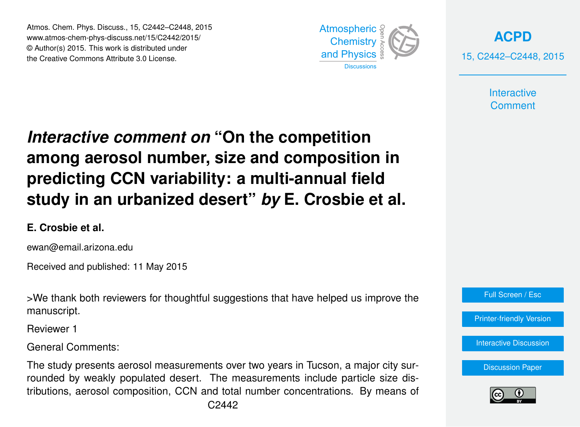Atmos. Chem. Phys. Discuss., 15, C2442–C2448, 2015 www.atmos-chem-phys-discuss.net/15/C2442/2015/ © Author(s) 2015. This work is distributed under the Creative Commons Attribute 3.0 License.



**[ACPD](http://www.atmos-chem-phys-discuss.net)** 15, C2442–C2448, 2015

> **Interactive Comment**

## *Interactive comment on* **"On the competition among aerosol number, size and composition in predicting CCN variability: a multi-annual field study in an urbanized desert"** *by* **E. Crosbie et al.**

## **E. Crosbie et al.**

ewan@email.arizona.edu

Received and published: 11 May 2015

>We thank both reviewers for thoughtful suggestions that have helped us improve the manuscript.

Reviewer 1

General Comments:

The study presents aerosol measurements over two years in Tucson, a major city surrounded by weakly populated desert. The measurements include particle size distributions, aerosol composition, CCN and total number concentrations. By means of



[Printer-friendly Version](http://www.atmos-chem-phys-discuss.net/15/C2442/2015/acpd-15-C2442-2015-print.pdf)

[Interactive Discussion](http://www.atmos-chem-phys-discuss.net/15/3863/2015/acpd-15-3863-2015-discussion.html)

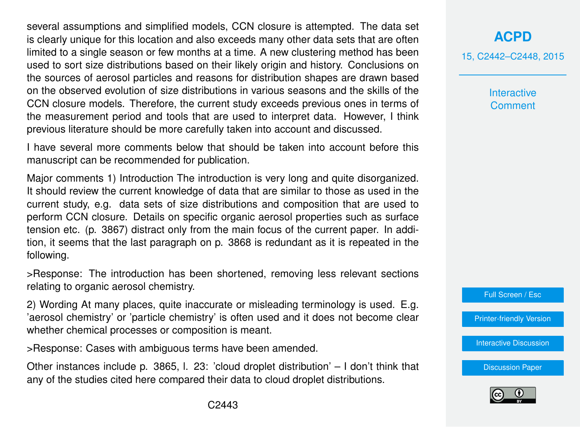several assumptions and simplified models, CCN closure is attempted. The data set is clearly unique for this location and also exceeds many other data sets that are often limited to a single season or few months at a time. A new clustering method has been used to sort size distributions based on their likely origin and history. Conclusions on the sources of aerosol particles and reasons for distribution shapes are drawn based on the observed evolution of size distributions in various seasons and the skills of the CCN closure models. Therefore, the current study exceeds previous ones in terms of the measurement period and tools that are used to interpret data. However, I think previous literature should be more carefully taken into account and discussed.

I have several more comments below that should be taken into account before this manuscript can be recommended for publication.

Major comments 1) Introduction The introduction is very long and quite disorganized. It should review the current knowledge of data that are similar to those as used in the current study, e.g. data sets of size distributions and composition that are used to perform CCN closure. Details on specific organic aerosol properties such as surface tension etc. (p. 3867) distract only from the main focus of the current paper. In addition, it seems that the last paragraph on p. 3868 is redundant as it is repeated in the following.

>Response: The introduction has been shortened, removing less relevant sections relating to organic aerosol chemistry.

2) Wording At many places, quite inaccurate or misleading terminology is used. E.g. 'aerosol chemistry' or 'particle chemistry' is often used and it does not become clear whether chemical processes or composition is meant.

>Response: Cases with ambiguous terms have been amended.

Other instances include p. 3865, l. 23: 'cloud droplet distribution' – I don't think that any of the studies cited here compared their data to cloud droplet distributions.

## **[ACPD](http://www.atmos-chem-phys-discuss.net)**

15, C2442–C2448, 2015

**Interactive Comment** 

Full Screen / Esc

[Printer-friendly Version](http://www.atmos-chem-phys-discuss.net/15/C2442/2015/acpd-15-C2442-2015-print.pdf)

[Interactive Discussion](http://www.atmos-chem-phys-discuss.net/15/3863/2015/acpd-15-3863-2015-discussion.html)

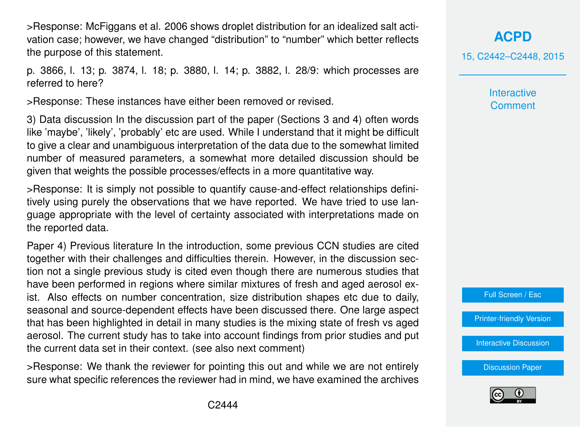>Response: McFiggans et al. 2006 shows droplet distribution for an idealized salt activation case; however, we have changed "distribution" to "number" which better reflects the purpose of this statement.

p. 3866, l. 13; p. 3874, l. 18; p. 3880, l. 14; p. 3882, l. 28/9: which processes are referred to here?

>Response: These instances have either been removed or revised.

3) Data discussion In the discussion part of the paper (Sections 3 and 4) often words like 'maybe', 'likely', 'probably' etc are used. While I understand that it might be difficult to give a clear and unambiguous interpretation of the data due to the somewhat limited number of measured parameters, a somewhat more detailed discussion should be given that weights the possible processes/effects in a more quantitative way.

>Response: It is simply not possible to quantify cause-and-effect relationships definitively using purely the observations that we have reported. We have tried to use language appropriate with the level of certainty associated with interpretations made on the reported data.

Paper 4) Previous literature In the introduction, some previous CCN studies are cited together with their challenges and difficulties therein. However, in the discussion section not a single previous study is cited even though there are numerous studies that have been performed in regions where similar mixtures of fresh and aged aerosol exist. Also effects on number concentration, size distribution shapes etc due to daily, seasonal and source-dependent effects have been discussed there. One large aspect that has been highlighted in detail in many studies is the mixing state of fresh vs aged aerosol. The current study has to take into account findings from prior studies and put the current data set in their context. (see also next comment)

>Response: We thank the reviewer for pointing this out and while we are not entirely sure what specific references the reviewer had in mind, we have examined the archives

**[ACPD](http://www.atmos-chem-phys-discuss.net)** 15, C2442–C2448, 2015

> **Interactive Comment**



[Printer-friendly Version](http://www.atmos-chem-phys-discuss.net/15/C2442/2015/acpd-15-C2442-2015-print.pdf)

[Interactive Discussion](http://www.atmos-chem-phys-discuss.net/15/3863/2015/acpd-15-3863-2015-discussion.html)

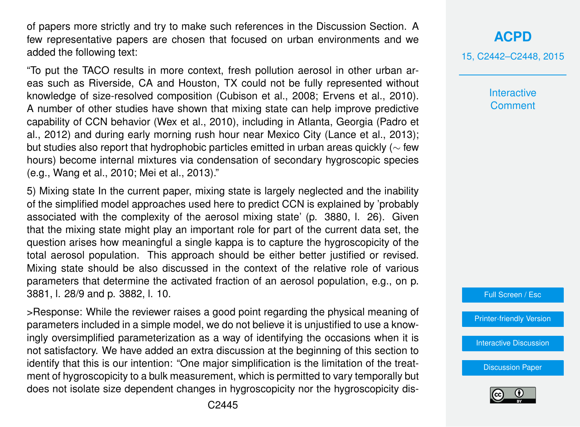of papers more strictly and try to make such references in the Discussion Section. A few representative papers are chosen that focused on urban environments and we added the following text:

"To put the TACO results in more context, fresh pollution aerosol in other urban areas such as Riverside, CA and Houston, TX could not be fully represented without knowledge of size-resolved composition (Cubison et al., 2008; Ervens et al., 2010). A number of other studies have shown that mixing state can help improve predictive capability of CCN behavior (Wex et al., 2010), including in Atlanta, Georgia (Padro et al., 2012) and during early morning rush hour near Mexico City (Lance et al., 2013); but studies also report that hydrophobic particles emitted in urban areas quickly ( $\sim$  few hours) become internal mixtures via condensation of secondary hygroscopic species (e.g., Wang et al., 2010; Mei et al., 2013)."

5) Mixing state In the current paper, mixing state is largely neglected and the inability of the simplified model approaches used here to predict CCN is explained by 'probably associated with the complexity of the aerosol mixing state' (p. 3880, l. 26). Given that the mixing state might play an important role for part of the current data set, the question arises how meaningful a single kappa is to capture the hygroscopicity of the total aerosol population. This approach should be either better justified or revised. Mixing state should be also discussed in the context of the relative role of various parameters that determine the activated fraction of an aerosol population, e.g., on p. 3881, l. 28/9 and p. 3882, l. 10.

>Response: While the reviewer raises a good point regarding the physical meaning of parameters included in a simple model, we do not believe it is unjustified to use a knowingly oversimplified parameterization as a way of identifying the occasions when it is not satisfactory. We have added an extra discussion at the beginning of this section to identify that this is our intention: "One major simplification is the limitation of the treatment of hygroscopicity to a bulk measurement, which is permitted to vary temporally but does not isolate size dependent changes in hygroscopicity nor the hygroscopicity dis**Interactive Comment** 

Full Screen / Esc

[Printer-friendly Version](http://www.atmos-chem-phys-discuss.net/15/C2442/2015/acpd-15-C2442-2015-print.pdf)

[Interactive Discussion](http://www.atmos-chem-phys-discuss.net/15/3863/2015/acpd-15-3863-2015-discussion.html)

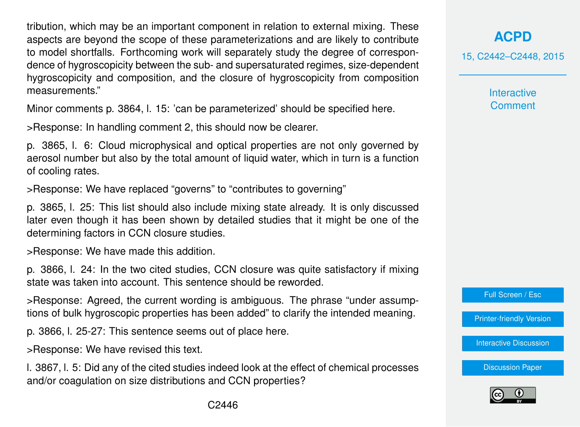tribution, which may be an important component in relation to external mixing. These aspects are beyond the scope of these parameterizations and are likely to contribute to model shortfalls. Forthcoming work will separately study the degree of correspondence of hygroscopicity between the sub- and supersaturated regimes, size-dependent hygroscopicity and composition, and the closure of hygroscopicity from composition measurements."

Minor comments p. 3864, l. 15: 'can be parameterized' should be specified here.

>Response: In handling comment 2, this should now be clearer.

p. 3865, l. 6: Cloud microphysical and optical properties are not only governed by aerosol number but also by the total amount of liquid water, which in turn is a function of cooling rates.

>Response: We have replaced "governs" to "contributes to governing"

p. 3865, l. 25: This list should also include mixing state already. It is only discussed later even though it has been shown by detailed studies that it might be one of the determining factors in CCN closure studies.

>Response: We have made this addition.

p. 3866, l. 24: In the two cited studies, CCN closure was quite satisfactory if mixing state was taken into account. This sentence should be reworded.

>Response: Agreed, the current wording is ambiguous. The phrase "under assumptions of bulk hygroscopic properties has been added" to clarify the intended meaning.

p. 3866, l. 25-27: This sentence seems out of place here.

>Response: We have revised this text.

l. 3867, l. 5: Did any of the cited studies indeed look at the effect of chemical processes and/or coagulation on size distributions and CCN properties?

**[ACPD](http://www.atmos-chem-phys-discuss.net)**

15, C2442–C2448, 2015

**Interactive Comment** 



[Printer-friendly Version](http://www.atmos-chem-phys-discuss.net/15/C2442/2015/acpd-15-C2442-2015-print.pdf)

[Interactive Discussion](http://www.atmos-chem-phys-discuss.net/15/3863/2015/acpd-15-3863-2015-discussion.html)

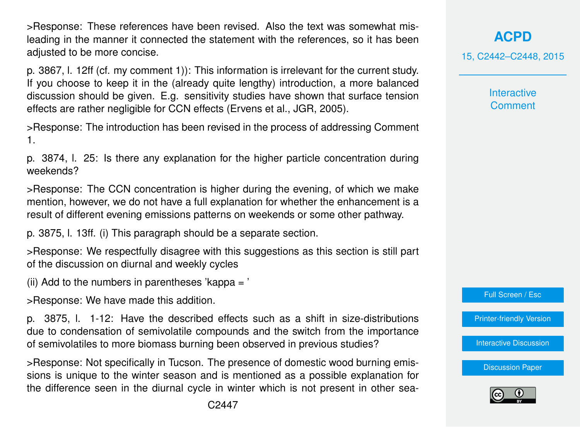>Response: These references have been revised. Also the text was somewhat misleading in the manner it connected the statement with the references, so it has been adjusted to be more concise.

p. 3867, l. 12ff (cf. my comment 1)): This information is irrelevant for the current study. If you choose to keep it in the (already quite lengthy) introduction, a more balanced discussion should be given. E.g. sensitivity studies have shown that surface tension effects are rather negligible for CCN effects (Ervens et al., JGR, 2005).

>Response: The introduction has been revised in the process of addressing Comment 1.

p. 3874, l. 25: Is there any explanation for the higher particle concentration during weekends?

>Response: The CCN concentration is higher during the evening, of which we make mention, however, we do not have a full explanation for whether the enhancement is a result of different evening emissions patterns on weekends or some other pathway.

p. 3875, l. 13ff. (i) This paragraph should be a separate section.

>Response: We respectfully disagree with this suggestions as this section is still part of the discussion on diurnal and weekly cycles

(ii) Add to the numbers in parentheses 'kappa  $=$ '

>Response: We have made this addition.

p. 3875, l. 1-12: Have the described effects such as a shift in size-distributions due to condensation of semivolatile compounds and the switch from the importance of semivolatiles to more biomass burning been observed in previous studies?

>Response: Not specifically in Tucson. The presence of domestic wood burning emissions is unique to the winter season and is mentioned as a possible explanation for the difference seen in the diurnal cycle in winter which is not present in other sea**Interactive Comment** 

**[ACPD](http://www.atmos-chem-phys-discuss.net)**

Full Screen / Esc

[Printer-friendly Version](http://www.atmos-chem-phys-discuss.net/15/C2442/2015/acpd-15-C2442-2015-print.pdf)

[Interactive Discussion](http://www.atmos-chem-phys-discuss.net/15/3863/2015/acpd-15-3863-2015-discussion.html)